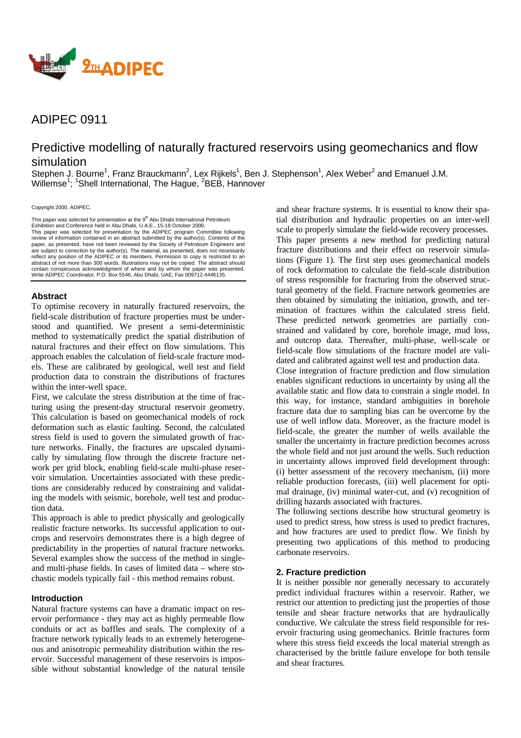

# ADIPEC 0911

## Predictive modelling of naturally fractured reservoirs using geomechanics and flow simulation

Stephen J. Bourne<sup>1</sup>, Franz Brauckmann<sup>2</sup>, Lex Rijkels<sup>1</sup>, Ben J. Stephenson<sup>1</sup>, Alex Weber<sup>2</sup> and Emanuel J.M. Willemse<sup>1</sup>; <sup>1</sup>Shell International, The Hague, <sup>2</sup>BEB, Hannover

Copyright 2000, ADIPEC.

This paper was selected for presentation at the 9<sup>th</sup> Abu Dhabi International Petroleum<br>Exhibition and Conference held in Abu Dhabi, U.A.E., 15-18 October 2000. This paper was selected for presentation by the ADIPEC program Committee following review of information contained in an abstract submitted by the author(s). Contents of the paper, as presented, have not been reviewed by the Society of Petroleum Engineers and are subject to correction by the author(s). The material, as presented, does not necessarily reflect any position of the ADIPEC or its members. Permission to copy is restricted to an abstract of not more than 300 words. Illustrations may not be copied. The abstract should contain conspicuous acknowledgment of where and by whom the paper was presented. Write ADIPEC Coordinator, P.O. Box 5546, Abu Dhabi, UAE, Fax 009712-4446135.

#### **Abstract**

To optimise recovery in naturally fractured reservoirs, the field-scale distribution of fracture properties must be understood and quantified. We present a semi-deterministic method to systematically predict the spatial distribution of natural fractures and their effect on flow simulations. This approach enables the calculation of field-scale fracture models. These are calibrated by geological, well test and field production data to constrain the distributions of fractures within the inter-well space.

First, we calculate the stress distribution at the time of fracturing using the present-day structural reservoir geometry. This calculation is based on geomechanical models of rock deformation such as elastic faulting. Second, the calculated stress field is used to govern the simulated growth of fracture networks. Finally, the fractures are upscaled dynamically by simulating flow through the discrete fracture network per grid block, enabling field-scale multi-phase reservoir simulation. Uncertainties associated with these predictions are considerably reduced by constraining and validating the models with seismic, borehole, well test and production data.

This approach is able to predict physically and geologically realistic fracture networks. Its successful application to outcrops and reservoirs demonstrates there is a high degree of predictability in the properties of natural fracture networks. Several examples show the success of the method in singleand multi-phase fields. In cases of limited data – where stochastic models typically fail - this method remains robust.

## **Introduction**

Natural fracture systems can have a dramatic impact on reservoir performance - they may act as highly permeable flow conduits or act as baffles and seals. The complexity of a fracture network typically leads to an extremely heterogeneous and anisotropic permeability distribution within the reservoir. Successful management of these reservoirs is impossible without substantial knowledge of the natural tensile and shear fracture systems. It is essential to know their spatial distribution and hydraulic properties on an inter-well scale to properly simulate the field-wide recovery processes. This paper presents a new method for predicting natural fracture distributions and their effect on reservoir simulations (Figure 1). The first step uses geomechanical models of rock deformation to calculate the field-scale distribution of stress responsible for fracturing from the observed structural geometry of the field. Fracture network geometries are then obtained by simulating the initiation, growth, and termination of fractures within the calculated stress field. These predicted network geometries are partially constrained and validated by core, borehole image, mud loss, and outcrop data. Thereafter, multi-phase, well-scale or field-scale flow simulations of the fracture model are validated and calibrated against well test and production data.

Close integration of fracture prediction and flow simulation enables significant reductions in uncertainty by using all the available static and flow data to constrain a single model. In this way, for instance, standard ambiguities in borehole fracture data due to sampling bias can be overcome by the use of well inflow data. Moreover, as the fracture model is field-scale, the greater the number of wells available the smaller the uncertainty in fracture prediction becomes across the whole field and not just around the wells. Such reduction in uncertainty allows improved field development through: (i) better assessment of the recovery mechanism, (ii) more reliable production forecasts, (iii) well placement for optimal drainage, (iv) minimal water-cut, and (v) recognition of drilling hazards associated with fractures.

The following sections describe how structural geometry is used to predict stress, how stress is used to predict fractures, and how fractures are used to predict flow. We finish by presenting two applications of this method to producing carbonate reservoirs.

## **2. Fracture prediction**

It is neither possible nor generally necessary to accurately predict individual fractures within a reservoir. Rather, we restrict our attention to predicting just the properties of those tensile and shear fracture networks that are hydraulically conductive. We calculate the stress field responsible for reservoir fracturing using geomechanics. Brittle fractures form where this stress field exceeds the local material strength as characterised by the brittle failure envelope for both tensile and shear fractures.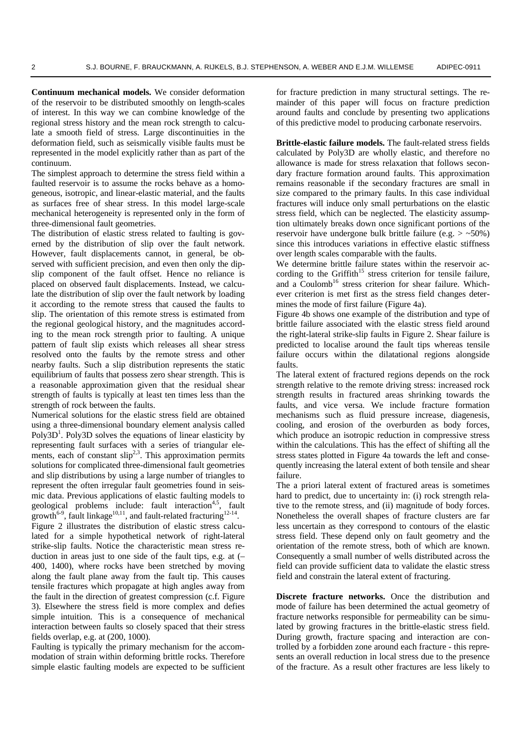**Continuum mechanical models.** We consider deformation of the reservoir to be distributed smoothly on length-scales of interest. In this way we can combine knowledge of the regional stress history and the mean rock strength to calculate a smooth field of stress. Large discontinuities in the deformation field, such as seismically visible faults must be represented in the model explicitly rather than as part of the continuum.

The simplest approach to determine the stress field within a faulted reservoir is to assume the rocks behave as a homogeneous, isotropic, and linear-elastic material, and the faults as surfaces free of shear stress. In this model large-scale mechanical heterogeneity is represented only in the form of three-dimensional fault geometries.

The distribution of elastic stress related to faulting is governed by the distribution of slip over the fault network. However, fault displacements cannot, in general, be observed with sufficient precision, and even then only the dipslip component of the fault offset. Hence no reliance is placed on observed fault displacements. Instead, we calculate the distribution of slip over the fault network by loading it according to the remote stress that caused the faults to slip. The orientation of this remote stress is estimated from the regional geological history, and the magnitudes according to the mean rock strength prior to faulting. A unique pattern of fault slip exists which releases all shear stress resolved onto the faults by the remote stress and other nearby faults. Such a slip distribution represents the static equilibrium of faults that possess zero shear strength. This is a reasonable approximation given that the residual shear strength of faults is typically at least ten times less than the strength of rock between the faults.

Numerical solutions for the elastic stress field are obtained using a three-dimensional boundary element analysis called Poly $3D<sup>1</sup>$ . Poly $3D$  solves the equations of linear elasticity by representing fault surfaces with a series of triangular elements, each of constant  $slip^{2,3}$ . This approximation permits solutions for complicated three-dimensional fault geometries and slip distributions by using a large number of triangles to represent the often irregular fault geometries found in seismic data. Previous applications of elastic faulting models to geological problems include: fault interaction<sup>4,5</sup>, fault growth<sup>6-9</sup>, fault linkage<sup>10,11</sup>, and fault-related fracturing<sup>12-14</sup>.

Figure 2 illustrates the distribution of elastic stress calculated for a simple hypothetical network of right-lateral strike-slip faults. Notice the characteristic mean stress reduction in areas just to one side of the fault tips, e.g. at (– 400, 1400), where rocks have been stretched by moving along the fault plane away from the fault tip. This causes tensile fractures which propagate at high angles away from the fault in the direction of greatest compression (c.f. Figure 3). Elsewhere the stress field is more complex and defies simple intuition. This is a consequence of mechanical interaction between faults so closely spaced that their stress fields overlap, e.g. at (200, 1000).

Faulting is typically the primary mechanism for the accommodation of strain within deforming brittle rocks. Therefore simple elastic faulting models are expected to be sufficient for fracture prediction in many structural settings. The remainder of this paper will focus on fracture prediction around faults and conclude by presenting two applications of this predictive model to producing carbonate reservoirs.

**Brittle-elastic failure models.** The fault-related stress fields calculated by Poly3D are wholly elastic, and therefore no allowance is made for stress relaxation that follows secondary fracture formation around faults. This approximation remains reasonable if the secondary fractures are small in size compared to the primary faults. In this case individual fractures will induce only small perturbations on the elastic stress field, which can be neglected. The elasticity assumption ultimately breaks down once significant portions of the reservoir have undergone bulk brittle failure (e.g.  $>$  ~50%) since this introduces variations in effective elastic stiffness over length scales comparable with the faults.

We determine brittle failure states within the reservoir according to the Griffith<sup>15</sup> stress criterion for tensile failure, and a Coulomb<sup>16</sup> stress criterion for shear failure. Whichever criterion is met first as the stress field changes determines the mode of first failure (Figure 4a).

Figure 4b shows one example of the distribution and type of brittle failure associated with the elastic stress field around the right-lateral strike-slip faults in Figure 2. Shear failure is predicted to localise around the fault tips whereas tensile failure occurs within the dilatational regions alongside faults.

The lateral extent of fractured regions depends on the rock strength relative to the remote driving stress: increased rock strength results in fractured areas shrinking towards the faults, and vice versa. We include fracture formation mechanisms such as fluid pressure increase, diagenesis, cooling, and erosion of the overburden as body forces, which produce an isotropic reduction in compressive stress within the calculations. This has the effect of shifting all the stress states plotted in Figure 4a towards the left and consequently increasing the lateral extent of both tensile and shear failure.

The a priori lateral extent of fractured areas is sometimes hard to predict, due to uncertainty in: (i) rock strength relative to the remote stress, and (ii) magnitude of body forces. Nonetheless the overall shapes of fracture clusters are far less uncertain as they correspond to contours of the elastic stress field. These depend only on fault geometry and the orientation of the remote stress, both of which are known. Consequently a small number of wells distributed across the field can provide sufficient data to validate the elastic stress field and constrain the lateral extent of fracturing.

**Discrete fracture networks.** Once the distribution and mode of failure has been determined the actual geometry of fracture networks responsible for permeability can be simulated by growing fractures in the brittle-elastic stress field. During growth, fracture spacing and interaction are controlled by a forbidden zone around each fracture - this represents an overall reduction in local stress due to the presence of the fracture. As a result other fractures are less likely to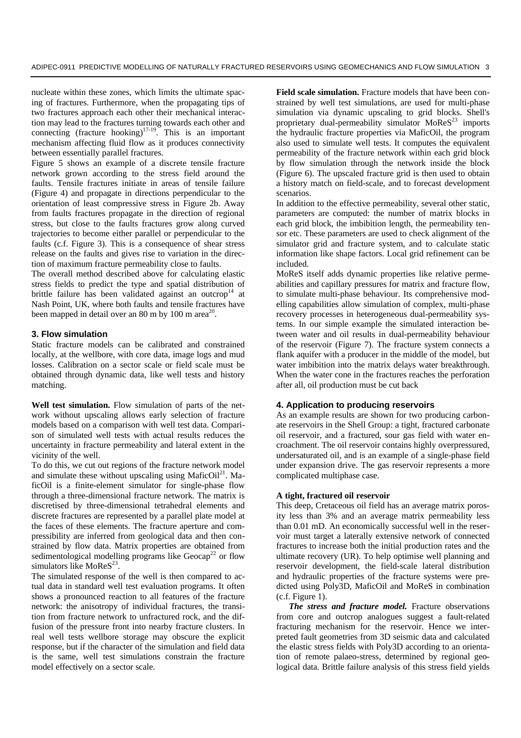nucleate within these zones, which limits the ultimate spacing of fractures. Furthermore, when the propagating tips of two fractures approach each other their mechanical interaction may lead to the fractures turning towards each other and connecting (fracture hooking) $17-19$ . This is an important mechanism affecting fluid flow as it produces connectivity between essentially parallel fractures.

Figure 5 shows an example of a discrete tensile fracture network grown according to the stress field around the faults. Tensile fractures initiate in areas of tensile failure (Figure 4) and propagate in directions perpendicular to the orientation of least compressive stress in Figure 2b. Away from faults fractures propagate in the direction of regional stress, but close to the faults fractures grow along curved trajectories to become either parallel or perpendicular to the faults (c.f. Figure 3). This is a consequence of shear stress release on the faults and gives rise to variation in the direction of maximum fracture permeability close to faults.

The overall method described above for calculating elastic stress fields to predict the type and spatial distribution of brittle failure has been validated against an outcrop<sup>14</sup> at Nash Point, UK, where both faults and tensile fractures have been mapped in detail over an 80 m by 100 m area<sup>20</sup>.

#### **3. Flow simulation**

Static fracture models can be calibrated and constrained locally, at the wellbore, with core data, image logs and mud losses. Calibration on a sector scale or field scale must be obtained through dynamic data, like well tests and history matching.

**Well test simulation.** Flow simulation of parts of the network without upscaling allows early selection of fracture models based on a comparison with well test data. Comparison of simulated well tests with actual results reduces the uncertainty in fracture permeability and lateral extent in the vicinity of the well.

To do this, we cut out regions of the fracture network model and simulate these without upscaling using MaficOil<sup>21</sup>. MaficOil is a finite-element simulator for single-phase flow through a three-dimensional fracture network. The matrix is discretised by three-dimensional tetrahedral elements and discrete fractures are represented by a parallel plate model at the faces of these elements. The fracture aperture and compressibility are inferred from geological data and then constrained by flow data. Matrix properties are obtained from sedimentological modelling programs like  $\text{Geocap}^{22}$  or flow simulators like  $MoReS<sup>23</sup>$ .

The simulated response of the well is then compared to actual data in standard well test evaluation programs. It often shows a pronounced reaction to all features of the fracture network: the anisotropy of individual fractures, the transition from fracture network to unfractured rock, and the diffusion of the pressure front into nearby fracture clusters. In real well tests wellbore storage may obscure the explicit response, but if the character of the simulation and field data is the same, well test simulations constrain the fracture model effectively on a sector scale.

**Field scale simulation.** Fracture models that have been constrained by well test simulations, are used for multi-phase simulation via dynamic upscaling to grid blocks. Shell's proprietary dual-permeability simulator  $M_0$ Re $S<sup>23</sup>$  imports the hydraulic fracture properties via MaficOil, the program also used to simulate well tests. It computes the equivalent permeability of the fracture network within each grid block by flow simulation through the network inside the block (Figure 6). The upscaled fracture grid is then used to obtain a history match on field-scale, and to forecast development scenarios.

In addition to the effective permeability, several other static, parameters are computed: the number of matrix blocks in each grid block, the imbibition length, the permeability tensor etc. These parameters are used to check alignment of the simulator grid and fracture system, and to calculate static information like shape factors. Local grid refinement can be included.

MoReS itself adds dynamic properties like relative permeabilities and capillary pressures for matrix and fracture flow, to simulate multi-phase behaviour. Its comprehensive modelling capabilities allow simulation of complex, multi-phase recovery processes in heterogeneous dual-permeability systems. In our simple example the simulated interaction between water and oil results in dual-permeability behaviour of the reservoir (Figure 7). The fracture system connects a flank aquifer with a producer in the middle of the model, but water imbibition into the matrix delays water breakthrough. When the water cone in the fractures reaches the perforation after all, oil production must be cut back

#### **4. Application to producing reservoirs**

As an example results are shown for two producing carbonate reservoirs in the Shell Group: a tight, fractured carbonate oil reservoir, and a fractured, sour gas field with water encroachment. The oil reservoir contains highly overpressured, undersaturated oil, and is an example of a single-phase field under expansion drive. The gas reservoir represents a more complicated multiphase case.

### **A tight, fractured oil reservoir**

This deep, Cretaceous oil field has an average matrix porosity less than 3% and an average matrix permeability less than 0.01 mD. An economically successful well in the reservoir must target a laterally extensive network of connected fractures to increase both the initial production rates and the ultimate recovery (UR). To help optimise well planning and reservoir development, the field-scale lateral distribution and hydraulic properties of the fracture systems were predicted using Poly3D, MaficOil and MoReS in combination (c.f. Figure 1).

*The stress and fracture model.* Fracture observations from core and outcrop analogues suggest a fault-related fracturing mechanism for the reservoir. Hence we interpreted fault geometries from 3D seismic data and calculated the elastic stress fields with Poly3D according to an orientation of remote palaeo-stress, determined by regional geological data. Brittle failure analysis of this stress field yields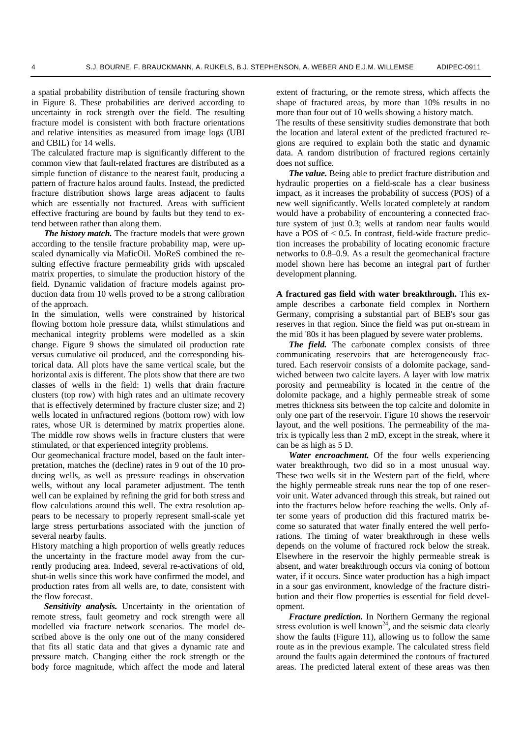a spatial probability distribution of tensile fracturing shown in Figure 8. These probabilities are derived according to uncertainty in rock strength over the field. The resulting fracture model is consistent with both fracture orientations and relative intensities as measured from image logs (UBI and CBIL) for 14 wells.

The calculated fracture map is significantly different to the common view that fault-related fractures are distributed as a simple function of distance to the nearest fault, producing a pattern of fracture halos around faults. Instead, the predicted fracture distribution shows large areas adjacent to faults which are essentially not fractured. Areas with sufficient effective fracturing are bound by faults but they tend to extend between rather than along them.

*The history match.* The fracture models that were grown according to the tensile fracture probability map, were upscaled dynamically via MaficOil. MoReS combined the resulting effective fracture permeability grids with upscaled matrix properties, to simulate the production history of the field. Dynamic validation of fracture models against production data from 10 wells proved to be a strong calibration of the approach.

In the simulation, wells were constrained by historical flowing bottom hole pressure data, whilst stimulations and mechanical integrity problems were modelled as a skin change. Figure 9 shows the simulated oil production rate versus cumulative oil produced, and the corresponding historical data. All plots have the same vertical scale, but the horizontal axis is different. The plots show that there are two classes of wells in the field: 1) wells that drain fracture clusters (top row) with high rates and an ultimate recovery that is effectively determined by fracture cluster size; and 2) wells located in unfractured regions (bottom row) with low rates, whose UR is determined by matrix properties alone. The middle row shows wells in fracture clusters that were stimulated, or that experienced integrity problems.

Our geomechanical fracture model, based on the fault interpretation, matches the (decline) rates in 9 out of the 10 producing wells, as well as pressure readings in observation wells, without any local parameter adjustment. The tenth well can be explained by refining the grid for both stress and flow calculations around this well. The extra resolution appears to be necessary to properly represent small-scale yet large stress perturbations associated with the junction of several nearby faults.

History matching a high proportion of wells greatly reduces the uncertainty in the fracture model away from the currently producing area. Indeed, several re-activations of old, shut-in wells since this work have confirmed the model, and production rates from all wells are, to date, consistent with the flow forecast.

*Sensitivity analysis.* Uncertainty in the orientation of remote stress, fault geometry and rock strength were all modelled via fracture network scenarios. The model described above is the only one out of the many considered that fits all static data and that gives a dynamic rate and pressure match. Changing either the rock strength or the body force magnitude, which affect the mode and lateral extent of fracturing, or the remote stress, which affects the shape of fractured areas, by more than 10% results in no more than four out of 10 wells showing a history match.

The results of these sensitivity studies demonstrate that both the location and lateral extent of the predicted fractured regions are required to explain both the static and dynamic data. A random distribution of fractured regions certainly does not suffice.

*The value.* Being able to predict fracture distribution and hydraulic properties on a field-scale has a clear business impact, as it increases the probability of success (POS) of a new well significantly. Wells located completely at random would have a probability of encountering a connected fracture system of just 0.3; wells at random near faults would have a POS of < 0.5. In contrast, field-wide fracture prediction increases the probability of locating economic fracture networks to 0.8–0.9. As a result the geomechanical fracture model shown here has become an integral part of further development planning.

**A fractured gas field with water breakthrough.** This example describes a carbonate field complex in Northern Germany, comprising a substantial part of BEB's sour gas reserves in that region. Since the field was put on-stream in the mid '80s it has been plagued by severe water problems.

The field. The carbonate complex consists of three communicating reservoirs that are heterogeneously fractured. Each reservoir consists of a dolomite package, sandwiched between two calcite layers. A layer with low matrix porosity and permeability is located in the centre of the dolomite package, and a highly permeable streak of some metres thickness sits between the top calcite and dolomite in only one part of the reservoir. Figure 10 shows the reservoir layout, and the well positions. The permeability of the matrix is typically less than 2 mD, except in the streak, where it can be as high as 5 D.

*Water encroachment.* Of the four wells experiencing water breakthrough, two did so in a most unusual way. These two wells sit in the Western part of the field, where the highly permeable streak runs near the top of one reservoir unit. Water advanced through this streak, but rained out into the fractures below before reaching the wells. Only after some years of production did this fractured matrix become so saturated that water finally entered the well perforations. The timing of water breakthrough in these wells depends on the volume of fractured rock below the streak. Elsewhere in the reservoir the highly permeable streak is absent, and water breakthrough occurs via coning of bottom water, if it occurs. Since water production has a high impact in a sour gas environment, knowledge of the fracture distribution and their flow properties is essential for field development.

*Fracture prediction.* In Northern Germany the regional stress evolution is well known<sup>24</sup>, and the seismic data clearly show the faults (Figure 11), allowing us to follow the same route as in the previous example. The calculated stress field around the faults again determined the contours of fractured areas. The predicted lateral extent of these areas was then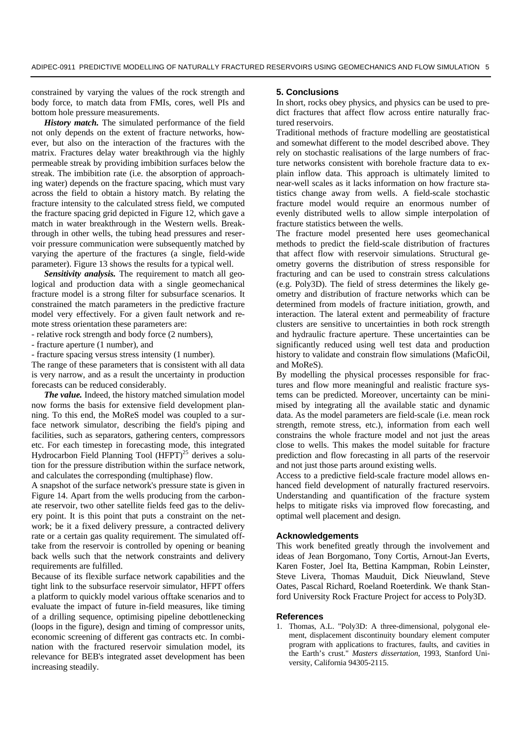constrained by varying the values of the rock strength and body force, to match data from FMIs, cores, well PIs and bottom hole pressure measurements.

*History match.* The simulated performance of the field not only depends on the extent of fracture networks, however, but also on the interaction of the fractures with the matrix. Fractures delay water breakthrough via the highly permeable streak by providing imbibition surfaces below the streak. The imbibition rate (i.e. the absorption of approaching water) depends on the fracture spacing, which must vary across the field to obtain a history match. By relating the fracture intensity to the calculated stress field, we computed the fracture spacing grid depicted in Figure 12, which gave a match in water breakthrough in the Western wells. Breakthrough in other wells, the tubing head pressures and reservoir pressure communication were subsequently matched by varying the aperture of the fractures (a single, field-wide parameter). Figure 13 shows the results for a typical well.

*Sensitivity analysis.* The requirement to match all geological and production data with a single geomechanical fracture model is a strong filter for subsurface scenarios. It constrained the match parameters in the predictive fracture model very effectively. For a given fault network and remote stress orientation these parameters are:

- relative rock strength and body force (2 numbers),

- fracture aperture (1 number), and

- fracture spacing versus stress intensity (1 number).

The range of these parameters that is consistent with all data is very narrow, and as a result the uncertainty in production forecasts can be reduced considerably.

*The value.* Indeed, the history matched simulation model now forms the basis for extensive field development planning. To this end, the MoReS model was coupled to a surface network simulator, describing the field's piping and facilities, such as separators, gathering centers, compressors etc. For each timestep in forecasting mode, this integrated Hydrocarbon Field Planning Tool  $(HFPT)^{25}$  derives a solution for the pressure distribution within the surface network, and calculates the corresponding (multiphase) flow.

A snapshot of the surface network's pressure state is given in Figure 14. Apart from the wells producing from the carbonate reservoir, two other satellite fields feed gas to the delivery point. It is this point that puts a constraint on the network; be it a fixed delivery pressure, a contracted delivery rate or a certain gas quality requirement. The simulated offtake from the reservoir is controlled by opening or beaning back wells such that the network constraints and delivery requirements are fulfilled.

Because of its flexible surface network capabilities and the tight link to the subsurface reservoir simulator, HFPT offers a platform to quickly model various offtake scenarios and to evaluate the impact of future in-field measures, like timing of a drilling sequence, optimising pipeline debottlenecking (loops in the figure), design and timing of compressor units, economic screening of different gas contracts etc. In combination with the fractured reservoir simulation model, its relevance for BEB's integrated asset development has been increasing steadily.

#### **5. Conclusions**

In short, rocks obey physics, and physics can be used to predict fractures that affect flow across entire naturally fractured reservoirs.

Traditional methods of fracture modelling are geostatistical and somewhat different to the model described above. They rely on stochastic realisations of the large numbers of fracture networks consistent with borehole fracture data to explain inflow data. This approach is ultimately limited to near-well scales as it lacks information on how fracture statistics change away from wells. A field-scale stochastic fracture model would require an enormous number of evenly distributed wells to allow simple interpolation of fracture statistics between the wells.

The fracture model presented here uses geomechanical methods to predict the field-scale distribution of fractures that affect flow with reservoir simulations. Structural geometry governs the distribution of stress responsible for fracturing and can be used to constrain stress calculations (e.g. Poly3D). The field of stress determines the likely geometry and distribution of fracture networks which can be determined from models of fracture initiation, growth, and interaction. The lateral extent and permeability of fracture clusters are sensitive to uncertainties in both rock strength and hydraulic fracture aperture. These uncertainties can be significantly reduced using well test data and production history to validate and constrain flow simulations (MaficOil, and MoReS).

By modelling the physical processes responsible for fractures and flow more meaningful and realistic fracture systems can be predicted. Moreover, uncertainty can be minimised by integrating all the available static and dynamic data. As the model parameters are field-scale (i.e. mean rock strength, remote stress, etc.), information from each well constrains the whole fracture model and not just the areas close to wells. This makes the model suitable for fracture prediction and flow forecasting in all parts of the reservoir and not just those parts around existing wells.

Access to a predictive field-scale fracture model allows enhanced field development of naturally fractured reservoirs. Understanding and quantification of the fracture system helps to mitigate risks via improved flow forecasting, and optimal well placement and design.

### **Acknowledgements**

This work benefited greatly through the involvement and ideas of Jean Borgomano, Tony Cortis, Arnout-Jan Everts, Karen Foster, Joel Ita, Bettina Kampman, Robin Leinster, Steve Livera, Thomas Mauduit, Dick Nieuwland, Steve Oates, Pascal Richard, Roeland Roeterdink. We thank Stanford University Rock Fracture Project for access to Poly3D.

#### **References**

1. Thomas, A.L. "Poly3D: A three-dimensional, polygonal element, displacement discontinuity boundary element computer program with applications to fractures, faults, and cavities in the Earth's crust." *Masters dissertation*, 1993, Stanford University, California 94305-2115.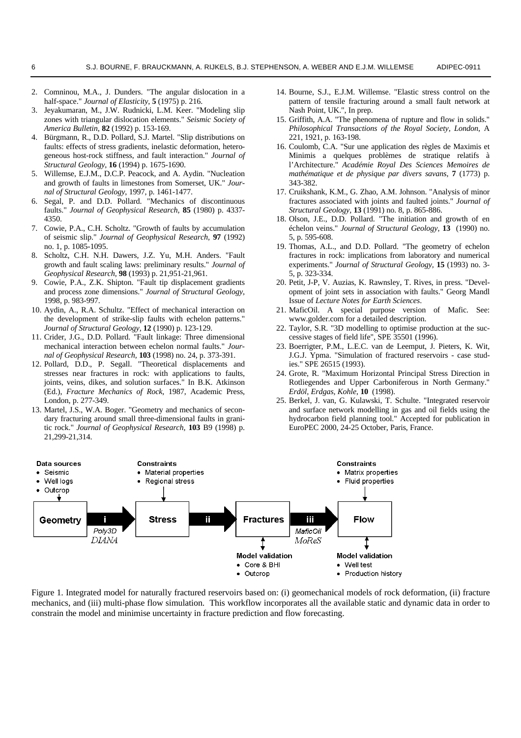- 2. Comninou, M.A., J. Dunders. "The angular dislocation in a half-space." *Journal of Elasticity*, **5** (1975) p. 216.
- 3. Jeyakumaran, M., J.W. Rudnicki, L.M. Keer. "Modeling slip zones with triangular dislocation elements." *Seismic Society of America Bulletin*, **82** (1992) p. 153-169.
- 4. Bürgmann, R., D.D. Pollard, S.J. Martel. "Slip distributions on faults: effects of stress gradients, inelastic deformation, heterogeneous host-rock stiffness, and fault interaction." *Journal of Structural Geology*, **16** (1994) p. 1675-1690.
- 5. Willemse, E.J.M., D.C.P. Peacock, and A. Aydin. "Nucleation and growth of faults in limestones from Somerset, UK." *Journal of Structural Geology*, 1997, p. 1461-1477.
- 6. Segal, P. and D.D. Pollard. "Mechanics of discontinuous faults." *Journal of Geophysical Research,* **85** (1980) p. 4337- 4350.
- 7. Cowie, P.A., C.H. Scholtz. "Growth of faults by accumulation of seismic slip." *Journal of Geophysical Research,* **97** (1992) no. 1, p. 1085-1095.
- 8. Scholtz, C.H. N.H. Dawers, J.Z. Yu, M.H. Anders. "Fault growth and fault scaling laws: preliminary results." *Journal of Geophysical Research*, **98** (1993) p. 21,951-21,961.
- 9. Cowie, P.A., Z.K. Shipton. "Fault tip displacement gradients and process zone dimensions." *Journal of Structural Geology,* 1998, p. 983-997.
- 10. Aydin, A., R.A. Schultz. "Effect of mechanical interaction on the development of strike-slip faults with echelon patterns." *Journal of Structural Geology,* **12** (1990) p. 123-129.
- 11. Crider, J.G., D.D. Pollard. "Fault linkage: Three dimensional mechanical interaction between echelon normal faults." *Journal of Geophysical Research,* **103** (1998) no. 24, p. 373-391.
- 12. Pollard, D.D., P. Segall. "Theoretical displacements and stresses near fractures in rock: with applications to faults, joints, veins, dikes, and solution surfaces." In B.K. Atkinson (Ed.), *Fracture Mechanics of Rock,* 1987, Academic Press, London, p. 277-349.
- 13. Martel, J.S., W.A. Boger. "Geometry and mechanics of secondary fracturing around small three-dimensional faults in granitic rock." *Journal of Geophysical Research,* **103** B9 (1998) p. 21,299-21,314.
- 14. Bourne, S.J., E.J.M. Willemse. "Elastic stress control on the pattern of tensile fracturing around a small fault network at Nash Point, UK.", In prep.
- 15. Griffith, A.A. "The phenomena of rupture and flow in solids." *Philosophical Transactions of the Royal Society, London*, A 221, 1921, p. 163-198.
- 16. Coulomb, C.A. "Sur une application des règles de Maximis et Minimis a quelques problèmes de stratique relatifs à l'Architecture." *Académie Royal Des Sciences Memoires de mathématique et de physique par divers savans*, **7** (1773) p. 343-382.
- 17. Cruikshank, K.M., G. Zhao, A.M. Johnson. "Analysis of minor fractures associated with joints and faulted joints." *Journal of Structural Geology,* **13** (1991) no. 8, p. 865-886.
- 18. Olson, J.E., D.D. Pollard. "The initiation and growth of en échelon veins." *Journal of Structural Geology*, **13** (1990) no. 5, p. 595-608.
- 19. Thomas, A.L., and D.D. Pollard. "The geometry of echelon fractures in rock: implications from laboratory and numerical experiments." *Journal of Structural Geology,* **15** (1993) no. 3- 5, p. 323-334.
- 20. Petit, J-P, V. Auzias, K. Rawnsley, T. Rives, in press. "Development of joint sets in association with faults." Georg Mandl Issue of *Lecture Notes for Earth Sciences*.
- 21. MaficOil. A special purpose version of Mafic. See: www.golder.com for a detailed description.
- 22. Taylor, S.R. "3D modelling to optimise production at the successive stages of field life", SPE 35501 (1996).
- 23. Boerrigter, P.M., L.E.C. van de Leemput, J. Pieters, K. Wit, J.G.J. Ypma. "Simulation of fractured reservoirs - case studies." SPE 26515 (1993).
- 24. Grote, R. "Maximum Horizontal Principal Stress Direction in Rotliegendes and Upper Carboniferous in North Germany." *Erdöl, Erdgas, Kohle*, **10** (1998).
- 25. Berkel, J. van, G. Kulawski, T. Schulte. "Integrated reservoir and surface network modelling in gas and oil fields using the hydrocarbon field planning tool." Accepted for publication in EuroPEC 2000, 24-25 October, Paris, France.



Figure 1. Integrated model for naturally fractured reservoirs based on: (i) geomechanical models of rock deformation, (ii) fracture mechanics, and (iii) multi-phase flow simulation. This workflow incorporates all the available static and dynamic data in order to constrain the model and minimise uncertainty in fracture prediction and flow forecasting.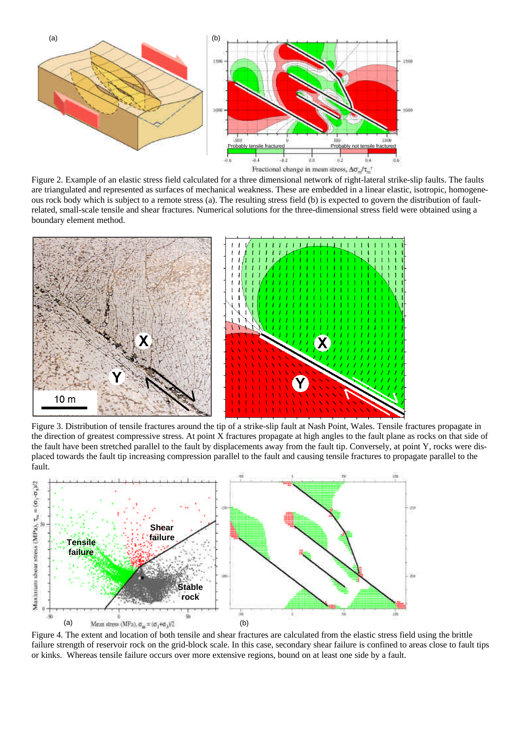

Figure 2. Example of an elastic stress field calculated for a three dimensional network of right-lateral strike-slip faults. The faults are triangulated and represented as surfaces of mechanical weakness. These are embedded in a linear elastic, isotropic, homogeneous rock body which is subject to a remote stress (a). The resulting stress field (b) is expected to govern the distribution of faultrelated, small-scale tensile and shear fractures. Numerical solutions for the three-dimensional stress field were obtained using a boundary element method.



Figure 3. Distribution of tensile fractures around the tip of a strike-slip fault at Nash Point, Wales. Tensile fractures propagate in the direction of greatest compressive stress. At point X fractures propagate at high angles to the fault plane as rocks on that side of the fault have been stretched parallel to the fault by displacements away from the fault tip. Conversely, at point Y, rocks were displaced towards the fault tip increasing compression parallel to the fault and causing tensile fractures to propagate parallel to the fault.



Figure 4. The extent and location of both tensile and shear fractures are calculated from the elastic stress field using the brittle failure strength of reservoir rock on the grid-block scale. In this case, secondary shear failure is confined to areas close to fault tips or kinks. Whereas tensile failure occurs over more extensive regions, bound on at least one side by a fault.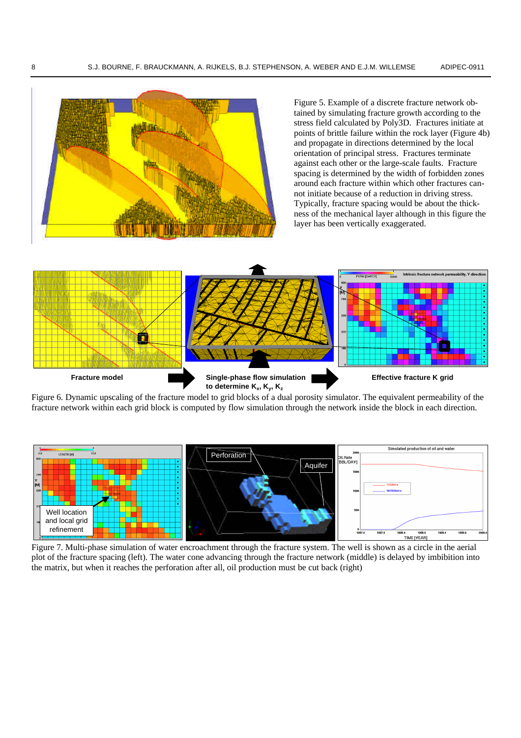

Figure 6. Dynamic upscaling of the fracture model to grid blocks of a dual porosity simulator. The equivalent permeability of the fracture network within each grid block is computed by flow simulation through the network inside the block in each direction.



Figure 7. Multi-phase simulation of water encroachment through the fracture system. The well is shown as a circle in the aerial plot of the fracture spacing (left). The water cone advancing through the fracture network (middle) is delayed by imbibition into the matrix, but when it reaches the perforation after all, oil production must be cut back (right)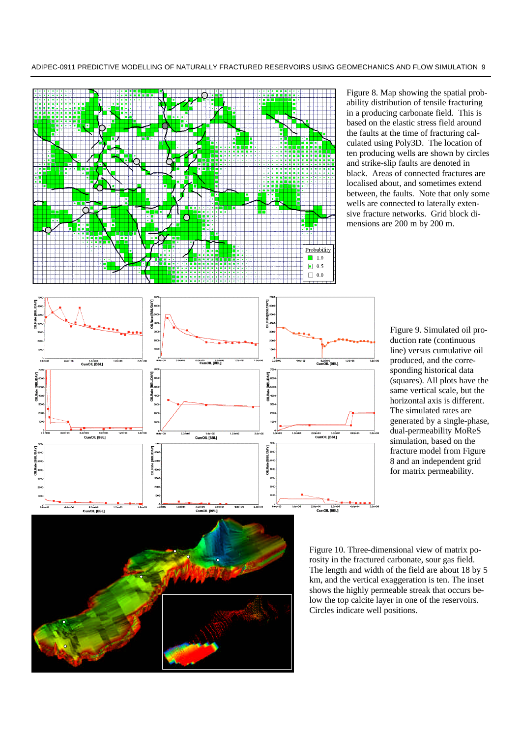

Figure 8. Map showing the spatial probability distribution of tensile fracturing in a producing carbonate field. This is based on the elastic stress field around the faults at the time of fracturing calculated using Poly3D. The location of ten producing wells are shown by circles and strike-slip faults are denoted in black. Areas of connected fractures are localised about, and sometimes extend between, the faults. Note that only some wells are connected to laterally extensive fracture networks. Grid block dimensions are 200 m by 200 m.

> Figure 9. Simulated oil production rate (continuous line) versus cumulative oil produced, and the corresponding historical data (squares). All plots have the same vertical scale, but the horizontal axis is different. The simulated rates are generated by a single-phase, dual-permeability MoReS simulation, based on the fracture model from Figure 8 and an independent grid for matrix permeability.



Figure 10. Three-dimensional view of matrix porosity in the fractured carbonate, sour gas field. The length and width of the field are about 18 by 5 km, and the vertical exaggeration is ten. The inset shows the highly permeable streak that occurs below the top calcite layer in one of the reservoirs. Circles indicate well positions.